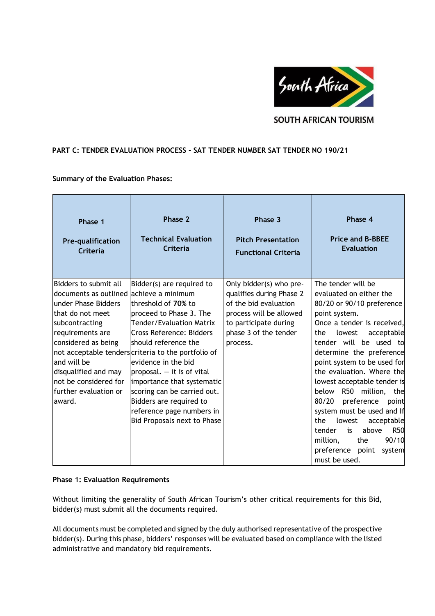

# **SOUTH AFRICAN TOURISM**

# **PART C: TENDER EVALUATION PROCESS - SAT TENDER NUMBER SAT TENDER NO 190/21**

### **Summary of the Evaluation Phases:**

| Phase 1                                                                                                                                                                                                                                                    | Phase 2                                                                                                                                                                                                                                                                                                                                                                                                                                                     | Phase 3                                                                                                                                                               | Phase 4                                                                                                                                                                                                                                                                                                                                                                                                                                                                                                                                                     |
|------------------------------------------------------------------------------------------------------------------------------------------------------------------------------------------------------------------------------------------------------------|-------------------------------------------------------------------------------------------------------------------------------------------------------------------------------------------------------------------------------------------------------------------------------------------------------------------------------------------------------------------------------------------------------------------------------------------------------------|-----------------------------------------------------------------------------------------------------------------------------------------------------------------------|-------------------------------------------------------------------------------------------------------------------------------------------------------------------------------------------------------------------------------------------------------------------------------------------------------------------------------------------------------------------------------------------------------------------------------------------------------------------------------------------------------------------------------------------------------------|
| <b>Pre-qualification</b>                                                                                                                                                                                                                                   | <b>Technical Evaluation</b>                                                                                                                                                                                                                                                                                                                                                                                                                                 | <b>Pitch Presentation</b>                                                                                                                                             | <b>Price and B-BBEE</b>                                                                                                                                                                                                                                                                                                                                                                                                                                                                                                                                     |
| Criteria                                                                                                                                                                                                                                                   | Criteria                                                                                                                                                                                                                                                                                                                                                                                                                                                    | <b>Functional Criteria</b>                                                                                                                                            | <b>Evaluation</b>                                                                                                                                                                                                                                                                                                                                                                                                                                                                                                                                           |
| Bidders to submit all<br>documents as outlined<br>under Phase Bidders<br>that do not meet<br>subcontracting<br>requirements are<br>considered as being<br>and will be<br>disqualified and may<br>not be considered for<br>further evaluation or<br>laward. | Bidder(s) are required to<br>lachieve a minimum<br>threshold of 70% to<br>proceed to Phase 3. The<br>Tender/Evaluation Matrix<br>Cross Reference: Bidders<br>lshould reference the<br>not acceptable tenders criteria to the portfolio of<br>evidence in the bid<br>proposal. $-$ it is of vital<br>importance that systematic<br>scoring can be carried out.<br>Bidders are required to<br>reference page numbers in<br><b>Bid Proposals next to Phase</b> | Only bidder(s) who pre-<br>qualifies during Phase 2<br>of the bid evaluation<br>process will be allowed<br>to participate during<br>phase 3 of the tender<br>process. | The tender will be<br>evaluated on either the<br>80/20 or 90/10 preference<br>point system.<br>Once a tender is received,<br>the<br>lowest<br>acceptable<br>tender will be used to<br>determine the preference<br>point system to be used for<br>the evaluation. Where the<br>lowest acceptable tender is<br>R50 million,<br>below<br>the<br>preference<br>80/20<br>point<br>system must be used and If<br>the<br>lowest<br>acceptable<br><b>R50</b><br>above<br>tender<br>is<br>90/10<br>million,<br>the<br>preference<br>point<br>system<br>must be used. |

### **Phase 1: Evaluation Requirements**

Without limiting the generality of South African Tourism's other critical requirements for this Bid, bidder(s) must submit all the documents required.

All documents must be completed and signed by the duly authorised representative of the prospective bidder(s). During this phase, bidders' responses will be evaluated based on compliance with the listed administrative and mandatory bid requirements.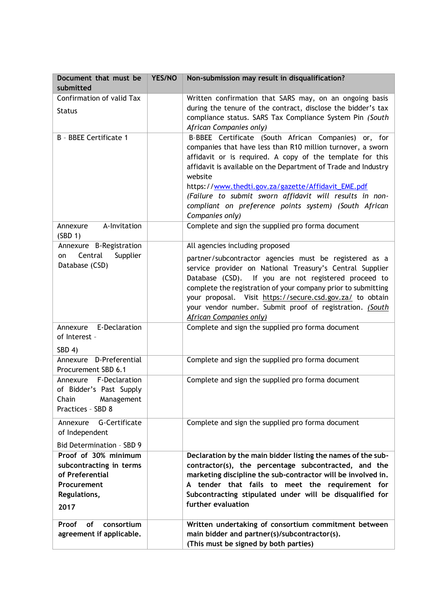| Document that must be<br>submitted                                                                        | YES/NO | Non-submission may result in disqualification?                                                                                                                                                                                                                                                                                                                                                                                                              |
|-----------------------------------------------------------------------------------------------------------|--------|-------------------------------------------------------------------------------------------------------------------------------------------------------------------------------------------------------------------------------------------------------------------------------------------------------------------------------------------------------------------------------------------------------------------------------------------------------------|
| Confirmation of valid Tax<br><b>Status</b>                                                                |        | Written confirmation that SARS may, on an ongoing basis<br>during the tenure of the contract, disclose the bidder's tax<br>compliance status. SARS Tax Compliance System Pin (South<br>African Companies only)                                                                                                                                                                                                                                              |
| B - BBEE Certificate 1                                                                                    |        | B-BBEE Certificate (South African Companies) or, for<br>companies that have less than R10 million turnover, a sworn<br>affidavit or is required. A copy of the template for this<br>affidavit is available on the Department of Trade and Industry<br>website<br>https://www.thedti.gov.za/gazette/Affidavit_EME.pdf<br>(Failure to submit sworn affidavit will results in non-<br>compliant on preference points system) (South African<br>Companies only) |
| A-Invitation<br>Annexure<br>(SBD 1)                                                                       |        | Complete and sign the supplied pro forma document                                                                                                                                                                                                                                                                                                                                                                                                           |
| Annexure B-Registration<br>Central<br>Supplier<br>on<br>Database (CSD)                                    |        | All agencies including proposed<br>partner/subcontractor agencies must be registered as a<br>service provider on National Treasury's Central Supplier<br>Database (CSD). If you are not registered proceed to<br>complete the registration of your company prior to submitting<br>your proposal. Visit https://secure.csd.gov.za/ to obtain<br>your vendor number. Submit proof of registration. (South<br>African Companies only)                          |
| Annexure E-Declaration<br>of Interest -<br>SBD 4)                                                         |        | Complete and sign the supplied pro forma document                                                                                                                                                                                                                                                                                                                                                                                                           |
| Annexure D-Preferential<br>Procurement SBD 6.1                                                            |        | Complete and sign the supplied pro forma document                                                                                                                                                                                                                                                                                                                                                                                                           |
| Annexure F-Declaration<br>of Bidder's Past Supply<br>Chain<br>Management<br>Practices - SBD 8             |        | Complete and sign the supplied pro forma document                                                                                                                                                                                                                                                                                                                                                                                                           |
| G-Certificate<br>Annexure<br>of Independent<br>Bid Determination - SBD 9                                  |        | Complete and sign the supplied pro forma document                                                                                                                                                                                                                                                                                                                                                                                                           |
| Proof of 30% minimum<br>subcontracting in terms<br>of Preferential<br>Procurement<br>Regulations,<br>2017 |        | Declaration by the main bidder listing the names of the sub-<br>contractor(s), the percentage subcontracted, and the<br>marketing discipline the sub-contractor will be involved in.<br>A tender that fails to meet the requirement for<br>Subcontracting stipulated under will be disqualified for<br>further evaluation                                                                                                                                   |
| consortium<br>Proof<br>of<br>agreement if applicable.                                                     |        | Written undertaking of consortium commitment between<br>main bidder and partner(s)/subcontractor(s).<br>(This must be signed by both parties)                                                                                                                                                                                                                                                                                                               |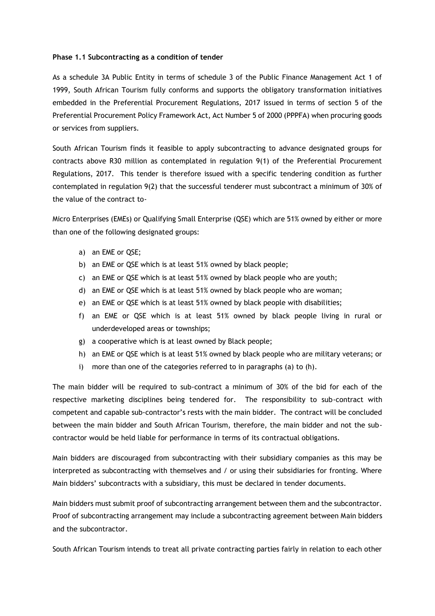#### **Phase 1.1 Subcontracting as a condition of tender**

As a schedule 3A Public Entity in terms of schedule 3 of the Public Finance Management Act 1 of 1999, South African Tourism fully conforms and supports the obligatory transformation initiatives embedded in the Preferential Procurement Regulations, 2017 issued in terms of section 5 of the Preferential Procurement Policy Framework Act, Act Number 5 of 2000 (PPPFA) when procuring goods or services from suppliers.

South African Tourism finds it feasible to apply subcontracting to advance designated groups for contracts above R30 million as contemplated in regulation 9(1) of the Preferential Procurement Regulations, 2017. This tender is therefore issued with a specific tendering condition as further contemplated in regulation 9(2) that the successful tenderer must subcontract a minimum of 30% of the value of the contract to-

Micro Enterprises (EMEs) or Qualifying Small Enterprise (QSE) which are 51% owned by either or more than one of the following designated groups:

- a) an EME or QSE;
- b) an EME or QSE which is at least 51% owned by black people;
- c) an EME or QSE which is at least 51% owned by black people who are youth;
- d) an EME or QSE which is at least 51% owned by black people who are woman;
- e) an EME or QSE which is at least 51% owned by black people with disabilities;
- f) an EME or QSE which is at least 51% owned by black people living in rural or underdeveloped areas or townships;
- g) a cooperative which is at least owned by Black people;
- h) an EME or QSE which is at least 51% owned by black people who are military veterans; or
- i) more than one of the categories referred to in paragraphs (a) to (h).

The main bidder will be required to sub-contract a minimum of 30% of the bid for each of the respective marketing disciplines being tendered for. The responsibility to sub-contract with competent and capable sub-contractor's rests with the main bidder. The contract will be concluded between the main bidder and South African Tourism, therefore, the main bidder and not the subcontractor would be held liable for performance in terms of its contractual obligations.

Main bidders are discouraged from subcontracting with their subsidiary companies as this may be interpreted as subcontracting with themselves and / or using their subsidiaries for fronting. Where Main bidders' subcontracts with a subsidiary, this must be declared in tender documents.

Main bidders must submit proof of subcontracting arrangement between them and the subcontractor. Proof of subcontracting arrangement may include a subcontracting agreement between Main bidders and the subcontractor.

South African Tourism intends to treat all private contracting parties fairly in relation to each other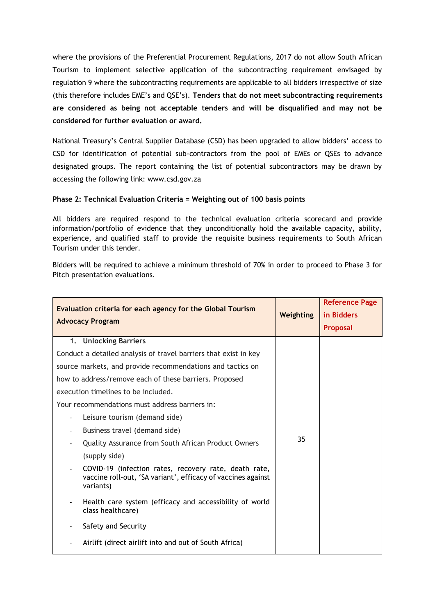where the provisions of the Preferential Procurement Regulations, 2017 do not allow South African Tourism to implement selective application of the subcontracting requirement envisaged by regulation 9 where the subcontracting requirements are applicable to all bidders irrespective of size (this therefore includes EME's and QSE's). **Tenders that do not meet subcontracting requirements are considered as being not acceptable tenders and will be disqualified and may not be considered for further evaluation or award.** 

National Treasury's Central Supplier Database (CSD) has been upgraded to allow bidders' access to CSD for identification of potential sub-contractors from the pool of EMEs or QSEs to advance designated groups. The report containing the list of potential subcontractors may be drawn by accessing the following link: www.csd.gov.za

# **Phase 2: Technical Evaluation Criteria = Weighting out of 100 basis points**

All bidders are required respond to the technical evaluation criteria scorecard and provide information/portfolio of evidence that they unconditionally hold the available capacity, ability, experience, and qualified staff to provide the requisite business requirements to South African Tourism under this tender.

Bidders will be required to achieve a minimum threshold of 70% in order to proceed to Phase 3 for Pitch presentation evaluations.

| Evaluation criteria for each agency for the Global Tourism<br><b>Advocacy Program</b>                                              | Weighting | <b>Reference Page</b><br>in Bidders<br>Proposal |
|------------------------------------------------------------------------------------------------------------------------------------|-----------|-------------------------------------------------|
| <b>Unlocking Barriers</b><br>1.                                                                                                    |           |                                                 |
| Conduct a detailed analysis of travel barriers that exist in key                                                                   |           |                                                 |
| source markets, and provide recommendations and tactics on                                                                         |           |                                                 |
| how to address/remove each of these barriers. Proposed                                                                             |           |                                                 |
| execution timelines to be included.                                                                                                |           |                                                 |
| Your recommendations must address barriers in:                                                                                     |           |                                                 |
| Leisure tourism (demand side)                                                                                                      |           |                                                 |
| Business travel (demand side)                                                                                                      |           |                                                 |
| Quality Assurance from South African Product Owners                                                                                | 35        |                                                 |
| (supply side)                                                                                                                      |           |                                                 |
| COVID-19 (infection rates, recovery rate, death rate,<br>vaccine roll-out, 'SA variant', efficacy of vaccines against<br>variants) |           |                                                 |
| Health care system (efficacy and accessibility of world<br>class healthcare)                                                       |           |                                                 |
| Safety and Security                                                                                                                |           |                                                 |
| Airlift (direct airlift into and out of South Africa)                                                                              |           |                                                 |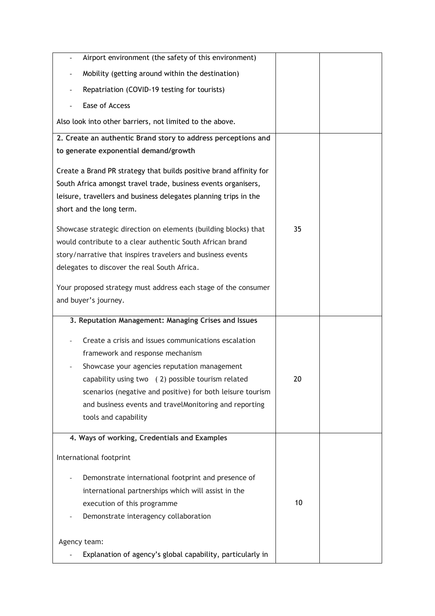| Airport environment (the safety of this environment)<br>$\qquad \qquad \blacksquare$                                                                                                                                                 |    |  |
|--------------------------------------------------------------------------------------------------------------------------------------------------------------------------------------------------------------------------------------|----|--|
| Mobility (getting around within the destination)                                                                                                                                                                                     |    |  |
| Repatriation (COVID-19 testing for tourists)                                                                                                                                                                                         |    |  |
| Ease of Access                                                                                                                                                                                                                       |    |  |
| Also look into other barriers, not limited to the above.                                                                                                                                                                             |    |  |
| 2. Create an authentic Brand story to address perceptions and                                                                                                                                                                        |    |  |
| to generate exponential demand/growth                                                                                                                                                                                                |    |  |
| Create a Brand PR strategy that builds positive brand affinity for<br>South Africa amongst travel trade, business events organisers,<br>leisure, travellers and business delegates planning trips in the<br>short and the long term. |    |  |
| Showcase strategic direction on elements (building blocks) that                                                                                                                                                                      | 35 |  |
| would contribute to a clear authentic South African brand                                                                                                                                                                            |    |  |
| story/narrative that inspires travelers and business events                                                                                                                                                                          |    |  |
| delegates to discover the real South Africa.                                                                                                                                                                                         |    |  |
| Your proposed strategy must address each stage of the consumer                                                                                                                                                                       |    |  |
| and buyer's journey.                                                                                                                                                                                                                 |    |  |
|                                                                                                                                                                                                                                      |    |  |
|                                                                                                                                                                                                                                      |    |  |
| 3. Reputation Management: Managing Crises and Issues                                                                                                                                                                                 |    |  |
| Create a crisis and issues communications escalation                                                                                                                                                                                 |    |  |
| framework and response mechanism                                                                                                                                                                                                     |    |  |
| Showcase your agencies reputation management                                                                                                                                                                                         |    |  |
| capability using two (2) possible tourism related                                                                                                                                                                                    | 20 |  |
| scenarios (negative and positive) for both leisure tourism                                                                                                                                                                           |    |  |
| and business events and travelMonitoring and reporting                                                                                                                                                                               |    |  |
| tools and capability                                                                                                                                                                                                                 |    |  |
| 4. Ways of working, Credentials and Examples                                                                                                                                                                                         |    |  |
| International footprint                                                                                                                                                                                                              |    |  |
| Demonstrate international footprint and presence of                                                                                                                                                                                  |    |  |
| international partnerships which will assist in the                                                                                                                                                                                  |    |  |
| execution of this programme                                                                                                                                                                                                          | 10 |  |
| Demonstrate interagency collaboration                                                                                                                                                                                                |    |  |
|                                                                                                                                                                                                                                      |    |  |
| Agency team:<br>Explanation of agency's global capability, particularly in                                                                                                                                                           |    |  |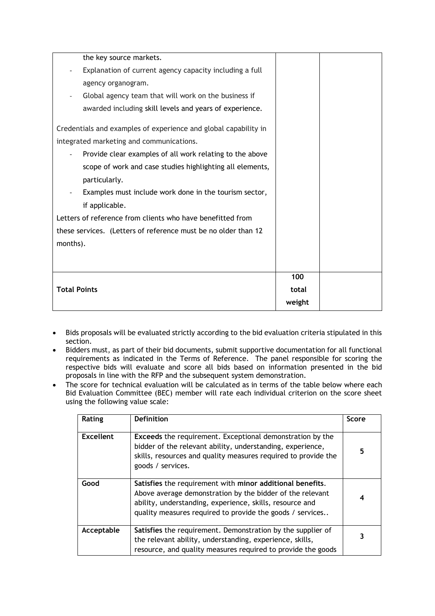| the key source markets.                                         |        |  |
|-----------------------------------------------------------------|--------|--|
| Explanation of current agency capacity including a full         |        |  |
| agency organogram.                                              |        |  |
| Global agency team that will work on the business if            |        |  |
| awarded including skill levels and years of experience.         |        |  |
| Credentials and examples of experience and global capability in |        |  |
| integrated marketing and communications.                        |        |  |
| Provide clear examples of all work relating to the above        |        |  |
| scope of work and case studies highlighting all elements,       |        |  |
| particularly.                                                   |        |  |
| Examples must include work done in the tourism sector,          |        |  |
| if applicable.                                                  |        |  |
| Letters of reference from clients who have benefitted from      |        |  |
| these services. (Letters of reference must be no older than 12  |        |  |
| months).                                                        |        |  |
|                                                                 |        |  |
|                                                                 |        |  |
|                                                                 | 100    |  |
| <b>Total Points</b>                                             | total  |  |
|                                                                 | weight |  |

- Bids proposals will be evaluated strictly according to the bid evaluation criteria stipulated in this section.
- Bidders must, as part of their bid documents, submit supportive documentation for all functional requirements as indicated in the Terms of Reference. The panel responsible for scoring the respective bids will evaluate and score all bids based on information presented in the bid proposals in line with the RFP and the subsequent system demonstration.
- The score for technical evaluation will be calculated as in terms of the table below where each Bid Evaluation Committee (BEC) member will rate each individual criterion on the score sheet using the following value scale:

| Rating     | <b>Definition</b>                                                                                                                                                                                                                               | Score |
|------------|-------------------------------------------------------------------------------------------------------------------------------------------------------------------------------------------------------------------------------------------------|-------|
| Excellent  | <b>Exceeds</b> the requirement. Exceptional demonstration by the<br>bidder of the relevant ability, understanding, experience,<br>skills, resources and quality measures required to provide the<br>goods / services.                           | 5     |
| Good       | Satisfies the requirement with minor additional benefits.<br>Above average demonstration by the bidder of the relevant<br>ability, understanding, experience, skills, resource and<br>quality measures required to provide the goods / services | 4     |
| Acceptable | Satisfies the requirement. Demonstration by the supplier of<br>the relevant ability, understanding, experience, skills,<br>resource, and quality measures required to provide the goods                                                         |       |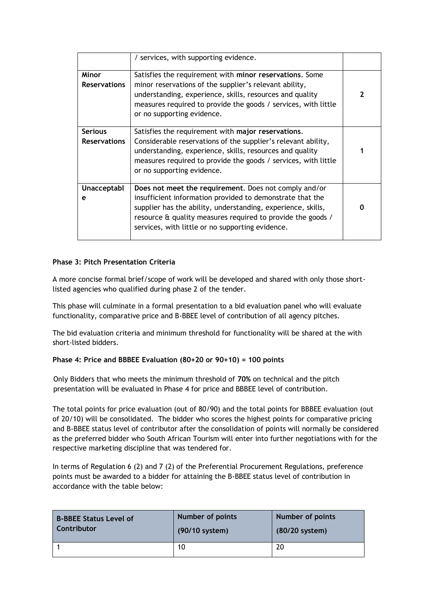|                                       | / services, with supporting evidence.                                                                                                                                                                                                                                                                 |   |
|---------------------------------------|-------------------------------------------------------------------------------------------------------------------------------------------------------------------------------------------------------------------------------------------------------------------------------------------------------|---|
| Minor<br><b>Reservations</b>          | Satisfies the requirement with minor reservations. Some<br>minor reservations of the supplier's relevant ability,<br>understanding, experience, skills, resources and quality<br>measures required to provide the goods / services, with little<br>or no supporting evidence.                         |   |
| <b>Serious</b><br><b>Reservations</b> | Satisfies the requirement with major reservations.<br>Considerable reservations of the supplier's relevant ability,<br>understanding, experience, skills, resources and quality<br>measures required to provide the goods / services, with little<br>or no supporting evidence.                       |   |
| Unacceptabl<br>е                      | Does not meet the requirement. Does not comply and/or<br>insufficient information provided to demonstrate that the<br>supplier has the ability, understanding, experience, skills,<br>resource & quality measures required to provide the goods /<br>services, with little or no supporting evidence. | O |

# **Phase 3: Pitch Presentation Criteria**

A more concise formal brief/scope of work will be developed and shared with only those shortlisted agencies who qualified during phase 2 of the tender.

This phase will culminate in a formal presentation to a bid evaluation panel who will evaluate functionality, comparative price and B-BBEE level of contribution of all agency pitches.

The bid evaluation criteria and minimum threshold for functionality will be shared at the with short-listed bidders.

### **Phase 4: Price and BBBEE Evaluation (80+20 or 90+10) = 100 points**

Only Bidders that who meets the minimum threshold of **70%** on technical and the pitch presentation will be evaluated in Phase 4 for price and BBBEE level of contribution.

The total points for price evaluation (out of 80/90) and the total points for BBBEE evaluation (out of 20/10) will be consolidated. The bidder who scores the highest points for comparative pricing and B-BBEE status level of contributor after the consolidation of points will normally be considered as the preferred bidder who South African Tourism will enter into further negotiations with for the respective marketing discipline that was tendered for.

In terms of Regulation 6 (2) and 7 (2) of the Preferential Procurement Regulations, preference points must be awarded to a bidder for attaining the B-BBEE status level of contribution in accordance with the table below:

| <b>B-BBEE Status Level of</b> | <b>Number of points</b> | <b>Number of points</b> |
|-------------------------------|-------------------------|-------------------------|
| Contributor                   | (90/10 system)          | (80/20 system)          |
|                               | 10                      | 20                      |